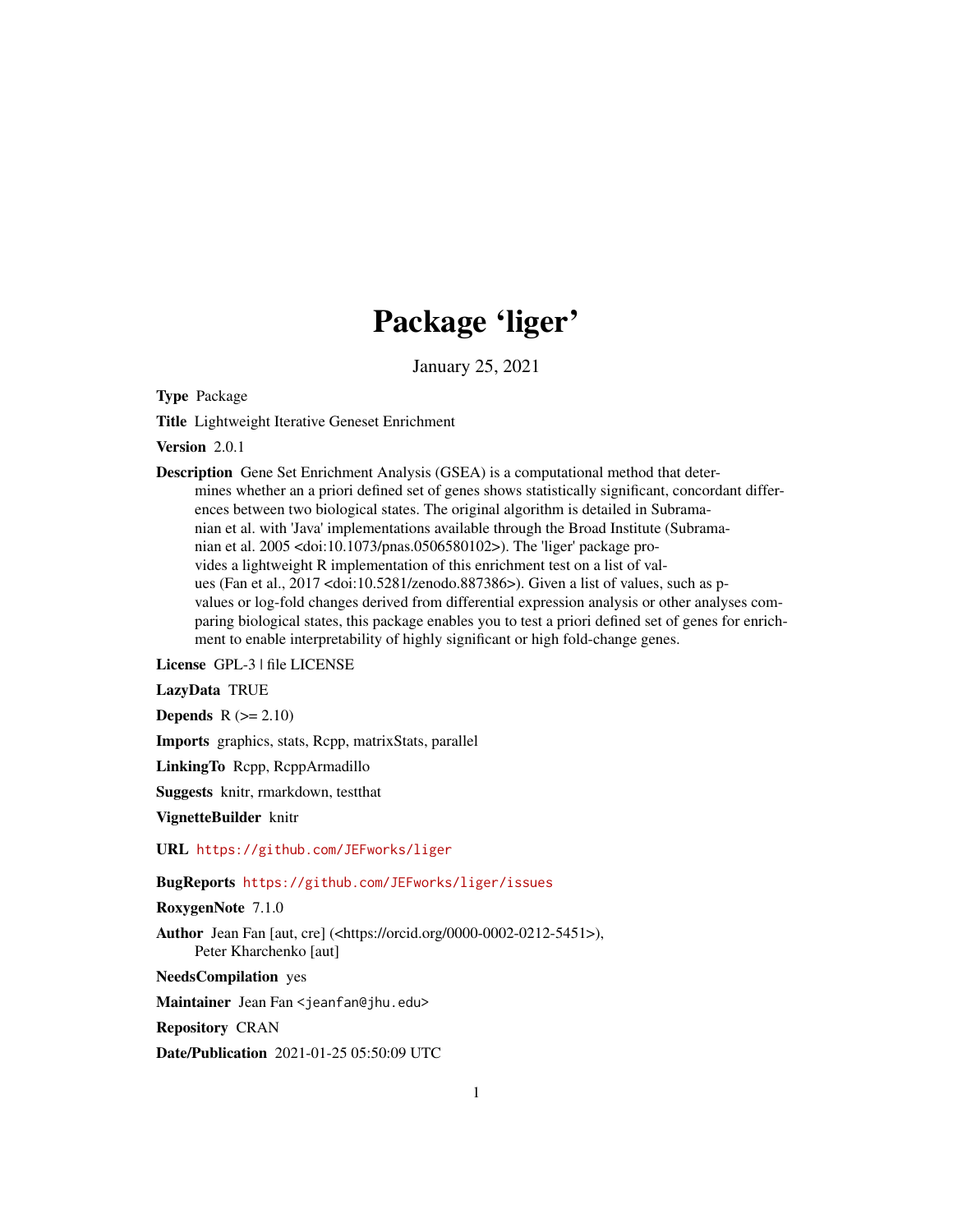# Package 'liger'

January 25, 2021

Type Package

Title Lightweight Iterative Geneset Enrichment

Version 2.0.1

Description Gene Set Enrichment Analysis (GSEA) is a computational method that determines whether an a priori defined set of genes shows statistically significant, concordant differences between two biological states. The original algorithm is detailed in Subramanian et al. with 'Java' implementations available through the Broad Institute (Subramanian et al. 2005 <doi:10.1073/pnas.0506580102>). The 'liger' package provides a lightweight R implementation of this enrichment test on a list of values (Fan et al., 2017 <doi:10.5281/zenodo.887386>). Given a list of values, such as pvalues or log-fold changes derived from differential expression analysis or other analyses comparing biological states, this package enables you to test a priori defined set of genes for enrichment to enable interpretability of highly significant or high fold-change genes.

License GPL-3 | file LICENSE

LazyData TRUE

**Depends**  $R$  ( $>= 2.10$ )

Imports graphics, stats, Rcpp, matrixStats, parallel

LinkingTo Rcpp, RcppArmadillo

Suggests knitr, rmarkdown, testthat

VignetteBuilder knitr

URL <https://github.com/JEFworks/liger>

#### BugReports <https://github.com/JEFworks/liger/issues>

RoxygenNote 7.1.0

Author Jean Fan [aut, cre] (<https://orcid.org/0000-0002-0212-5451>), Peter Kharchenko [aut]

NeedsCompilation yes

Maintainer Jean Fan <jeanfan@jhu.edu>

Repository CRAN

Date/Publication 2021-01-25 05:50:09 UTC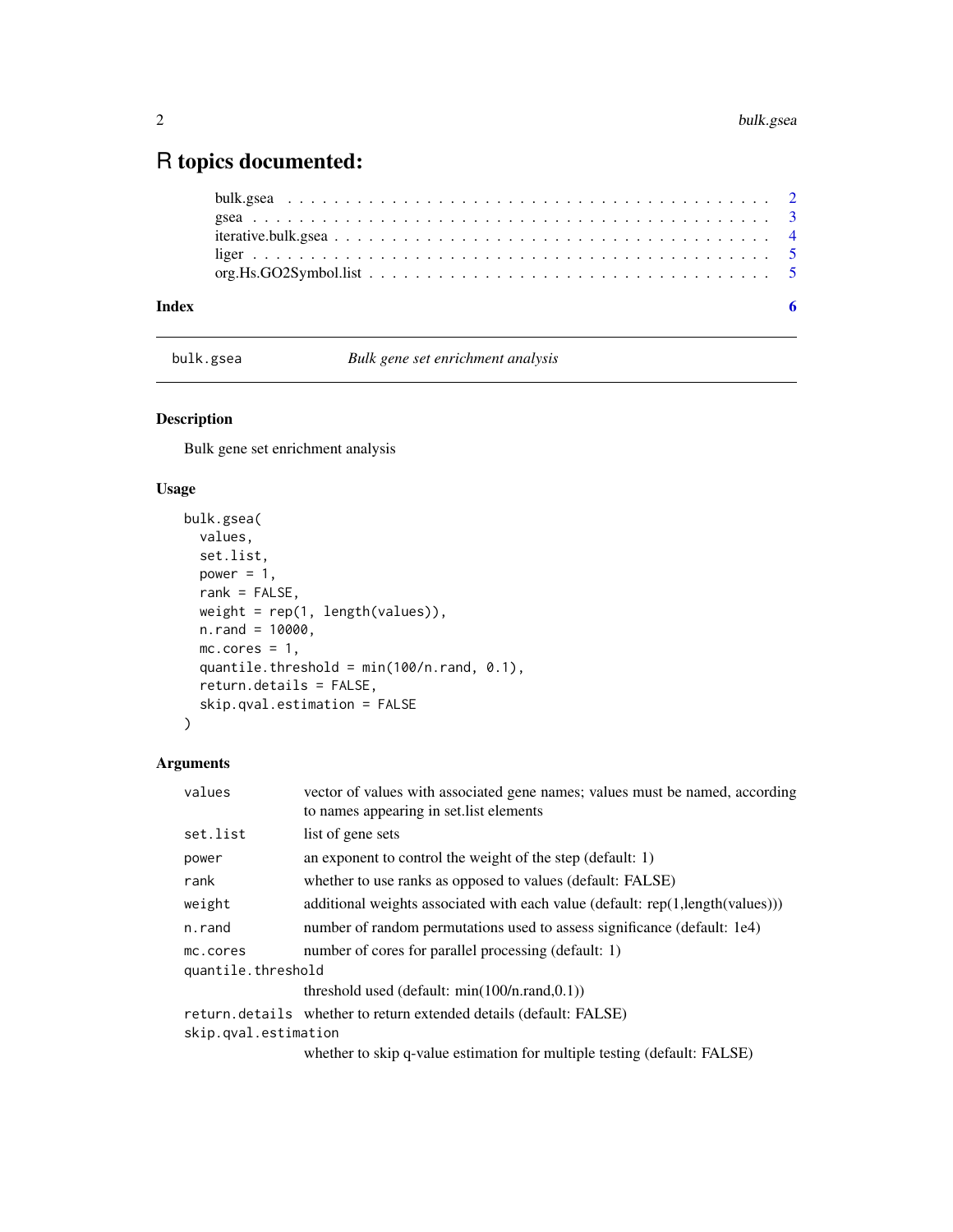## <span id="page-1-0"></span>R topics documented:

| Index |  |
|-------|--|

<span id="page-1-1"></span>bulk.gsea *Bulk gene set enrichment analysis*

### Description

Bulk gene set enrichment analysis

#### Usage

```
bulk.gsea(
 values,
 set.list,
 power = 1,
 rank = FALSE,weight = rep(1, length(values)),
 n.random = 10000,mc.cores = 1,
 quantile.threshold = min(100/n.rand, 0.1),
 return.details = FALSE,
 skip.qval.estimation = FALSE
)
```
#### Arguments

| values               | vector of values with associated gene names; values must be named, according<br>to names appearing in set. list elements |  |  |  |
|----------------------|--------------------------------------------------------------------------------------------------------------------------|--|--|--|
| set.list             | list of gene sets                                                                                                        |  |  |  |
| power                | an exponent to control the weight of the step (default: 1)                                                               |  |  |  |
| rank                 | whether to use ranks as opposed to values (default: FALSE)                                                               |  |  |  |
| weight               | additional weights associated with each value (default: $rep(1, length(values)))$ )                                      |  |  |  |
| n.rand               | number of random permutations used to assess significance (default: 1e4)                                                 |  |  |  |
| mc.cores             | number of cores for parallel processing (default: 1)                                                                     |  |  |  |
| quantile.threshold   |                                                                                                                          |  |  |  |
|                      | threshold used (default: $min(100/n, rand, 0.1)$ )                                                                       |  |  |  |
|                      | return.details whether to return extended details (default: FALSE)                                                       |  |  |  |
| skip.qval.estimation |                                                                                                                          |  |  |  |
|                      | whether to skip q-value estimation for multiple testing (default: FALSE)                                                 |  |  |  |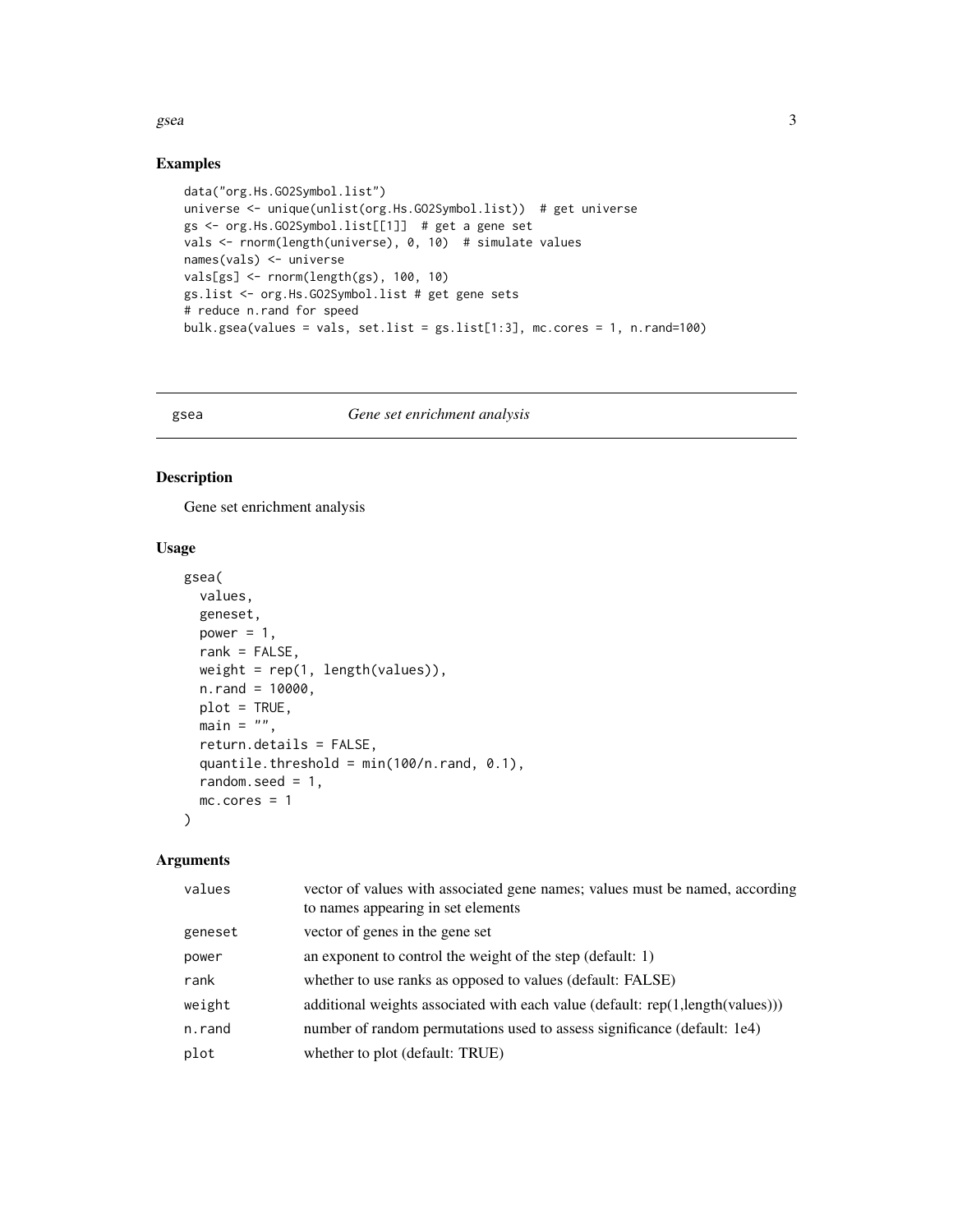<span id="page-2-0"></span> $\sigma$  gsea  $\sigma$  3

#### Examples

```
data("org.Hs.GO2Symbol.list")
universe <- unique(unlist(org.Hs.GO2Symbol.list)) # get universe
gs <- org.Hs.GO2Symbol.list[[1]] # get a gene set
vals <- rnorm(length(universe), 0, 10) # simulate values
names(vals) <- universe
vals[gs] <- rnorm(length(gs), 100, 10)
gs.list <- org.Hs.GO2Symbol.list # get gene sets
# reduce n.rand for speed
bulk.gsea(values = vals, set.list = gs.list[1:3], mc.cores = 1, n.rand=100)
```
#### gsea *Gene set enrichment analysis*

#### Description

Gene set enrichment analysis

#### Usage

```
gsea(
  values,
  geneset,
 power = 1,
  rank = FALSE,weight = rep(1, length(values)),
  n.random = 10000,plot = TRUE,
 main = "",return.details = FALSE,
  quantile.threshold = min(100/n, rand, 0.1),
  random.seed = 1,
 mc.cores = 1
)
```
#### Arguments

| values  | vector of values with associated gene names; values must be named, according<br>to names appearing in set elements |
|---------|--------------------------------------------------------------------------------------------------------------------|
| geneset | vector of genes in the gene set                                                                                    |
| power   | an exponent to control the weight of the step (default: 1)                                                         |
| rank    | whether to use ranks as opposed to values (default: FALSE)                                                         |
| weight  | additional weights associated with each value (default: rep(1,length(values)))                                     |
| n.rand  | number of random permutations used to assess significance (default: 1e4)                                           |
| plot    | whether to plot (default: TRUE)                                                                                    |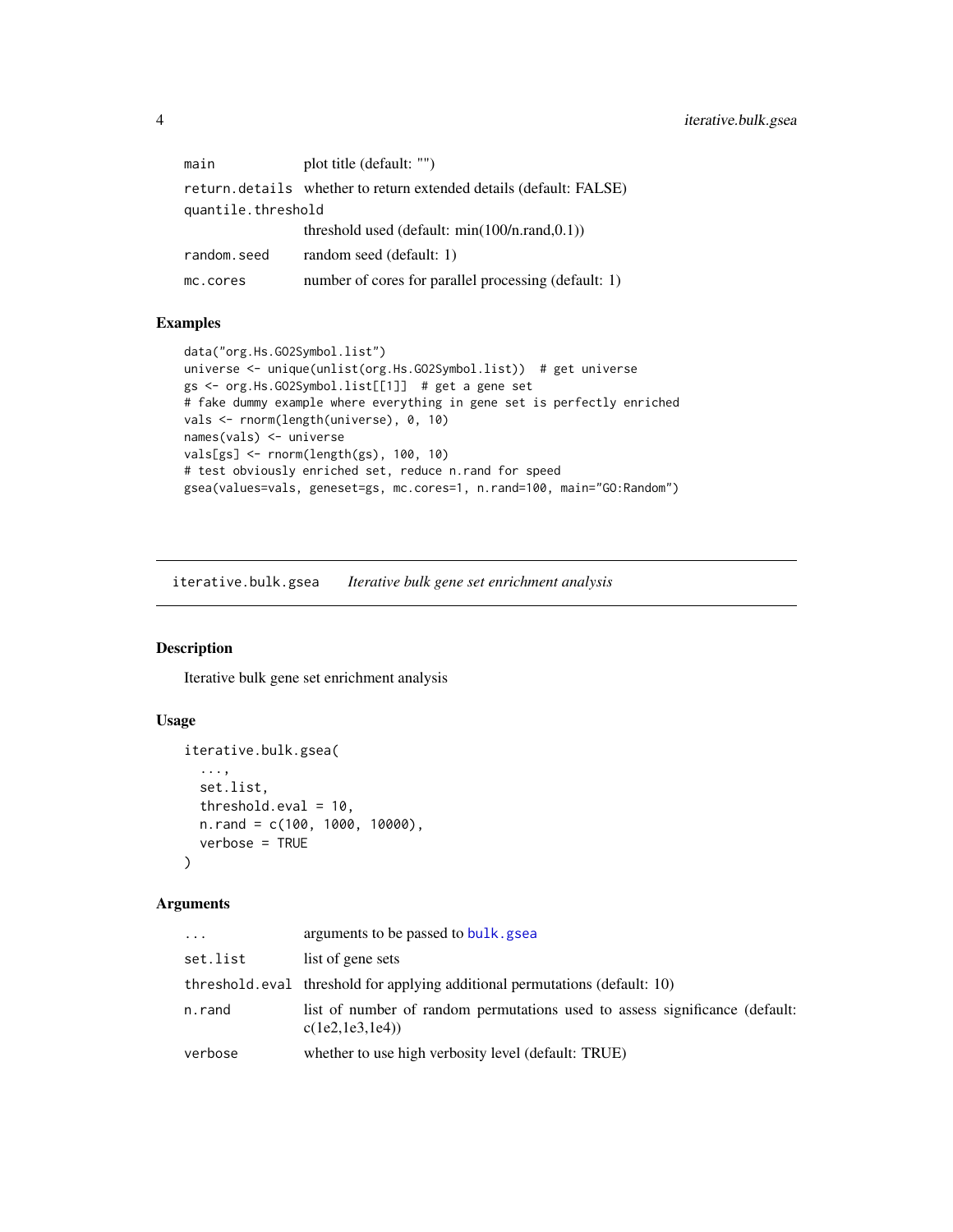<span id="page-3-0"></span>main plot title (default: "") return.details whether to return extended details (default: FALSE) quantile.threshold threshold used (default: min(100/n.rand,0.1)) random.seed random seed (default: 1) mc.cores number of cores for parallel processing (default: 1)

#### Examples

```
data("org.Hs.GO2Symbol.list")
universe <- unique(unlist(org.Hs.GO2Symbol.list)) # get universe
gs <- org.Hs.GO2Symbol.list[[1]] # get a gene set
# fake dummy example where everything in gene set is perfectly enriched
vals <- rnorm(length(universe), 0, 10)
names(vals) <- universe
vals[gs] <- rnorm(length(gs), 100, 10)
# test obviously enriched set, reduce n.rand for speed
gsea(values=vals, geneset=gs, mc.cores=1, n.rand=100, main="GO:Random")
```
iterative.bulk.gsea *Iterative bulk gene set enrichment analysis*

#### Description

Iterative bulk gene set enrichment analysis

#### Usage

```
iterative.bulk.gsea(
  ...,
  set.list,
 threshold.eval = 10,
 n.rand = c(100, 1000, 10000),
  verbose = TRUE
)
```
#### **Arguments**

| .        | arguments to be passed to bulk, gsea                                                            |
|----------|-------------------------------------------------------------------------------------------------|
| set.list | list of gene sets                                                                               |
|          | threshold, eval threshold for applying additional permutations (default: 10)                    |
| n.rand   | list of number of random permutations used to assess significance (default:<br>c(1e2, 1e3, 1e4) |
| verbose  | whether to use high verbosity level (default: TRUE)                                             |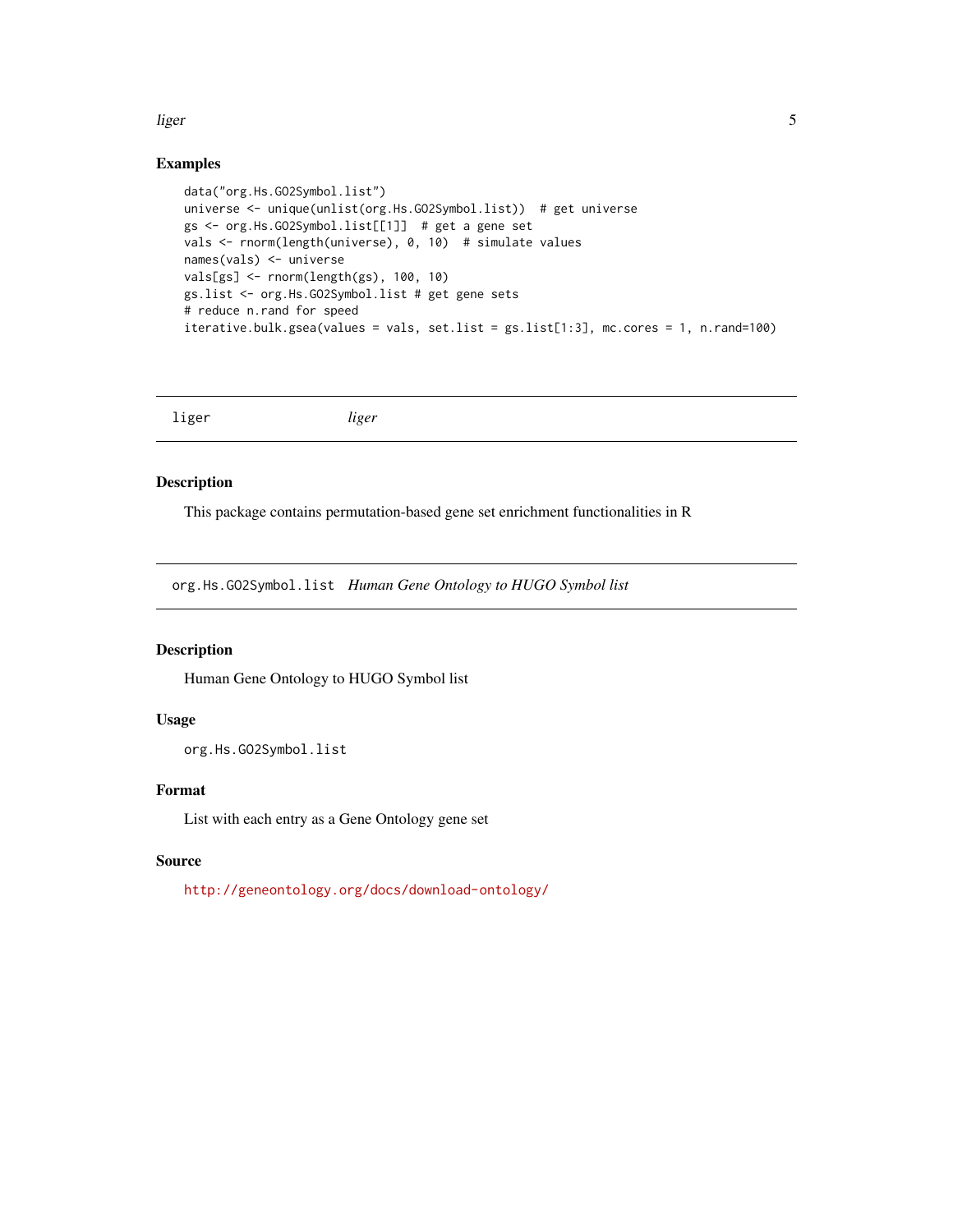#### <span id="page-4-0"></span>liger 5 and 5 and 5 and 5 and 5 and 5 and 5 and 5 and 5 and 5 and 5 and 5 and 5 and 5 and 5 and 5 and 5 and 5 and 5 and 5 and 5 and 5 and 5 and 5 and 5 and 5 and 5 and 5 and 5 and 5 and 5 and 5 and 5 and 5 and 5 and 5 and

#### Examples

```
data("org.Hs.GO2Symbol.list")
universe <- unique(unlist(org.Hs.GO2Symbol.list)) # get universe
gs <- org.Hs.GO2Symbol.list[[1]] # get a gene set
vals <- rnorm(length(universe), 0, 10) # simulate values
names(vals) <- universe
vals[gs] <- rnorm(length(gs), 100, 10)
gs.list <- org.Hs.GO2Symbol.list # get gene sets
# reduce n.rand for speed
iterative.bulk.gsea(values = vals, set.list = gs.list[1:3], mc.cores = 1, n.rand=100)
```
liger *liger*

#### Description

This package contains permutation-based gene set enrichment functionalities in R

org.Hs.GO2Symbol.list *Human Gene Ontology to HUGO Symbol list*

#### Description

Human Gene Ontology to HUGO Symbol list

#### Usage

org.Hs.GO2Symbol.list

#### Format

List with each entry as a Gene Ontology gene set

#### Source

<http://geneontology.org/docs/download-ontology/>